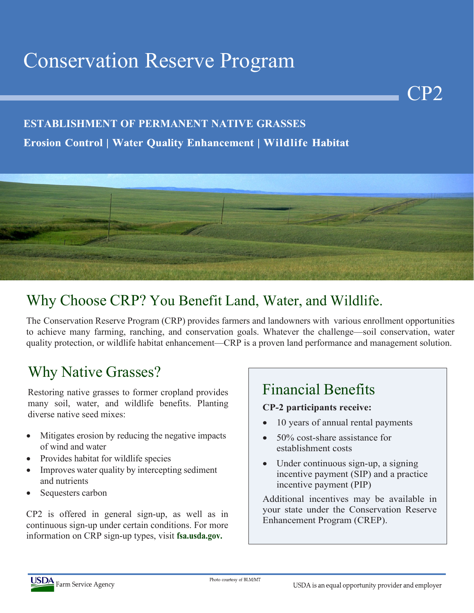# Conservation Reserve Program

### **ESTABLISHMENT OF PERMANENT NATIVE GRASSES**

### **Erosion Control | Water Quality Enhancement | Wildlife Habitat**



### Why Choose CRP? You Benefit Land, Water, and Wildlife.

The Conservation Reserve Program (CRP) provides farmers and landowners with various enrollment opportunities to achieve many farming, ranching, and conservation goals. Whatever the challenge—soil conservation, water quality protection, or wildlife habitat enhancement—CRP is a proven land performance and management solution.

### Why Native Grasses?

Restoring native grasses to former cropland provides many soil, water, and wildlife benefits. Planting diverse native seed mixes:

- Mitigates erosion by reducing the negative impacts of wind and water
- Provides habitat for wildlife species
- Improves water quality by intercepting sediment and nutrients
- Sequesters carbon

CP2 is offered in general sign-up, as well as in continuous sign-up under certain conditions. For more information on CRP sign-up types, visit **fsa.usda.gov.**

### Financial Benefits

#### **CP-2 participants receive:**

10 years of annual rental payments

CP2

- 50% cost-share assistance for establishment costs
- Under continuous sign-up, a signing incentive payment (SIP) and a practice incentive payment (PIP)

Additional incentives may be available in your state under the Conservation Reserve Enhancement Program (CREP).